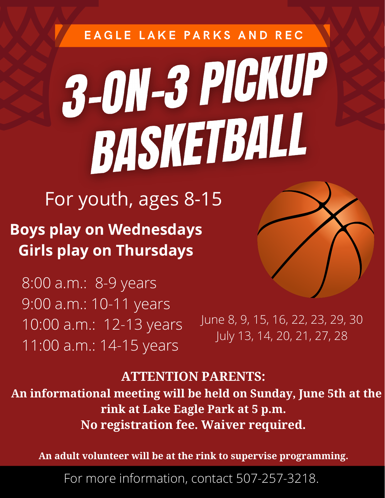# EAGLE LAKE PARKS AND REC 3-011-3 PIGKUP BASKETBALL

## For youth, ages 8-15

**Boys play on Wednesdays Girls play on Thursdays**

8:00 a.m.: 8-9 years 9:00 a.m.: 10-11 years 10:00 a.m.: 12-13 years 11:00 a.m.: 14-15 years

June 8, 9, 15, 16, 22, 23, 29, 30 July 13, 14, 20, 21, 27, 28

### **ATTENTION PARENTS:**

 **An informational meeting will be held on Sunday, June 5th at the rink at Lake Eagle Park at 5 p.m. No registration fee. Waiver required.**

**An adult volunteer will be at the rink to supervise programming.**

For more information, contact 507-257-3218.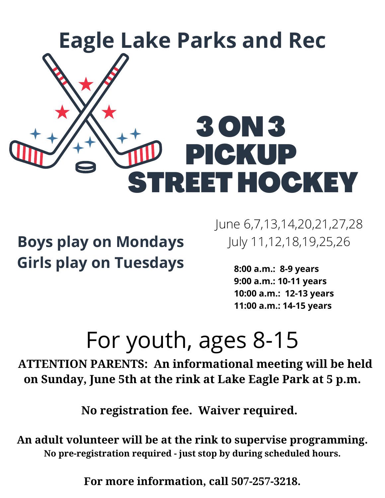

**Boys play on Mondays Girls play on Tuesdays** June 6,7,13,14,20,21,27,28 July 11,12,18,19,25,26

> **8:00 a.m.: 8-9 years 9:00 a.m.: 10-11 years 10:00 a.m.: 12-13 years 11:00 a.m.: 14-15 years**

## For youth, ages 8-15

 **ATTENTION PARENTS: An informational meeting will be held on Sunday, June 5th at the rink at Lake Eagle Park at 5 p.m.**

**No registration fee. Waiver required.** 

**An adult volunteer will be at the rink to supervise programming. No pre-registration required - just stop by during scheduled hours.**

**For more information, call 507-257-3218.**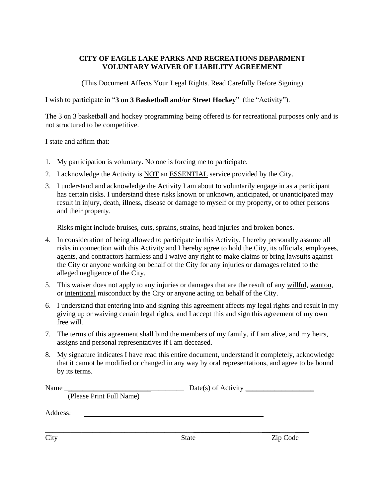#### **CITY OF EAGLE LAKE PARKS AND RECREATIONS DEPARMENT VOLUNTARY WAIVER OF LIABILITY AGREEMENT**

(This Document Affects Your Legal Rights. Read Carefully Before Signing)

I wish to participate in "**3 on 3 Basketball and/or Street Hockey**" (the "Activity").

The 3 on 3 basketball and hockey programming being offered is for recreational purposes only and is not structured to be competitive.

I state and affirm that:

- 1. My participation is voluntary. No one is forcing me to participate.
- 2. I acknowledge the Activity is NOT an ESSENTIAL service provided by the City.
- 3. I understand and acknowledge the Activity I am about to voluntarily engage in as a participant has certain risks. I understand these risks known or unknown, anticipated, or unanticipated may result in injury, death, illness, disease or damage to myself or my property, or to other persons and their property.

Risks might include bruises, cuts, sprains, strains, head injuries and broken bones.

- 4. In consideration of being allowed to participate in this Activity, I hereby personally assume all risks in connection with this Activity and I hereby agree to hold the City, its officials, employees, agents, and contractors harmless and I waive any right to make claims or bring lawsuits against the City or anyone working on behalf of the City for any injuries or damages related to the alleged negligence of the City.
- 5. This waiver does not apply to any injuries or damages that are the result of any willful, wanton, or intentional misconduct by the City or anyone acting on behalf of the City.
- 6. I understand that entering into and signing this agreement affects my legal rights and result in my giving up or waiving certain legal rights, and I accept this and sign this agreement of my own free will.
- 7. The terms of this agreement shall bind the members of my family, if I am alive, and my heirs, assigns and personal representatives if I am deceased.
- 8. My signature indicates I have read this entire document, understand it completely, acknowledge that it cannot be modified or changed in any way by oral representations, and agree to be bound by its terms.

| Name                     |              |          |  |
|--------------------------|--------------|----------|--|
| (Please Print Full Name) |              |          |  |
| Address:                 |              |          |  |
| City                     | <b>State</b> | Zip Code |  |